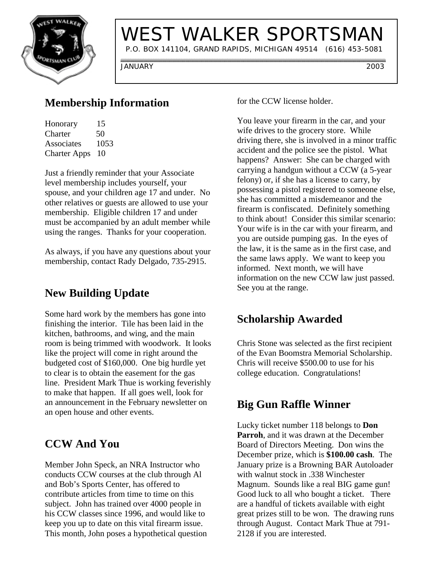

# WEST WALKER SPORTSMAN

P.O. BOX 141104, GRAND RAPIDS, MICHIGAN 49514 (616) 453-5081

JANUARY 2003

### **Membership Information**

| Honorary            | 15   |
|---------------------|------|
| Charter             | 50   |
| Associates          | 1053 |
| <b>Charter Apps</b> | 10   |

Just a friendly reminder that your Associate level membership includes yourself, your spouse, and your children age 17 and under. No other relatives or guests are allowed to use your membership. Eligible children 17 and under must be accompanied by an adult member while using the ranges. Thanks for your cooperation.

As always, if you have any questions about your membership, contact Rady Delgado, 735-2915.

### **New Building Update**

Some hard work by the members has gone into finishing the interior. Tile has been laid in the kitchen, bathrooms, and wing, and the main room is being trimmed with woodwork. It looks like the project will come in right around the budgeted cost of \$160,000. One big hurdle yet to clear is to obtain the easement for the gas line. President Mark Thue is working feverishly to make that happen. If all goes well, look for an announcement in the February newsletter on an open house and other events.

## **CCW And You**

Member John Speck, an NRA Instructor who conducts CCW courses at the club through Al and Bob's Sports Center, has offered to contribute articles from time to time on this subject. John has trained over 4000 people in his CCW classes since 1996, and would like to keep you up to date on this vital firearm issue. This month, John poses a hypothetical question for the CCW license holder.

You leave your firearm in the car, and your wife drives to the grocery store. While driving there, she is involved in a minor traffic accident and the police see the pistol. What happens? Answer: She can be charged with carrying a handgun without a CCW (a 5-year felony) or, if she has a license to carry, by possessing a pistol registered to someone else, she has committed a misdemeanor and the firearm is confiscated. Definitely something to think about! Consider this similar scenario: Your wife is in the car with your firearm, and you are outside pumping gas. In the eyes of the law, it is the same as in the first case, and the same laws apply. We want to keep you informed. Next month, we will have information on the new CCW law just passed. See you at the range.

## **Scholarship Awarded**

Chris Stone was selected as the first recipient of the Evan Boomstra Memorial Scholarship. Chris will receive \$500.00 to use for his college education. Congratulations!

### **Big Gun Raffle Winner**

Lucky ticket number 118 belongs to **Don Parroh**, and it was drawn at the December Board of Directors Meeting. Don wins the December prize, which is **\$100.00 cash**. The January prize is a Browning BAR Autoloader with walnut stock in .338 Winchester Magnum. Sounds like a real BIG game gun! Good luck to all who bought a ticket. There are a handful of tickets available with eight great prizes still to be won. The drawing runs through August. Contact Mark Thue at 791- 2128 if you are interested.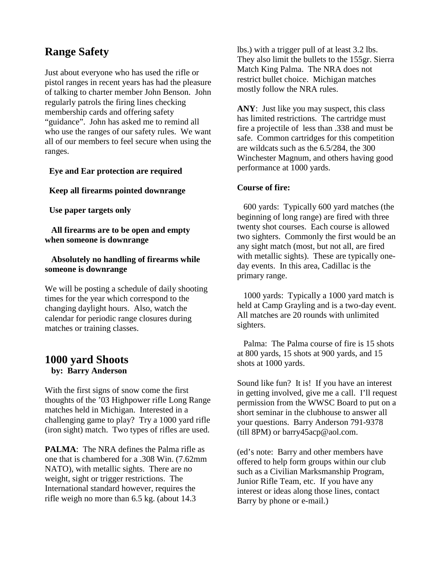### **Range Safety**

Just about everyone who has used the rifle or pistol ranges in recent years has had the pleasure of talking to charter member John Benson. John regularly patrols the firing lines checking membership cards and offering safety "guidance". John has asked me to remind all who use the ranges of our safety rules. We want all of our members to feel secure when using the ranges.

#### **Eye and Ear protection are required**

#### **Keep all firearms pointed downrange**

 **Use paper targets only**

 **All firearms are to be open and empty when someone is downrange**

#### **Absolutely no handling of firearms while someone is downrange**

We will be posting a schedule of daily shooting times for the year which correspond to the changing daylight hours. Also, watch the calendar for periodic range closures during matches or training classes.

### **1000 yard Shoots by: Barry Anderson**

With the first signs of snow come the first thoughts of the '03 Highpower rifle Long Range matches held in Michigan. Interested in a challenging game to play? Try a 1000 yard rifle (iron sight) match. Two types of rifles are used.

**PALMA**: The NRA defines the Palma rifle as one that is chambered for a .308 Win. (7.62mm NATO), with metallic sights. There are no weight, sight or trigger restrictions. The International standard however, requires the rifle weigh no more than 6.5 kg. (about 14.3

lbs.) with a trigger pull of at least 3.2 lbs. They also limit the bullets to the 155gr. Sierra Match King Palma. The NRA does not restrict bullet choice. Michigan matches mostly follow the NRA rules.

**ANY**: Just like you may suspect, this class has limited restrictions. The cartridge must fire a projectile of less than .338 and must be safe. Common cartridges for this competition are wildcats such as the 6.5/284, the 300 Winchester Magnum, and others having good performance at 1000 yards.

#### **Course of fire:**

 600 yards: Typically 600 yard matches (the beginning of long range) are fired with three twenty shot courses. Each course is allowed two sighters. Commonly the first would be an any sight match (most, but not all, are fired with metallic sights). These are typically oneday events. In this area, Cadillac is the primary range.

 1000 yards: Typically a 1000 yard match is held at Camp Grayling and is a two-day event. All matches are 20 rounds with unlimited sighters.

 Palma: The Palma course of fire is 15 shots at 800 yards, 15 shots at 900 yards, and 15 shots at 1000 yards.

Sound like fun? It is! If you have an interest in getting involved, give me a call. I'll request permission from the WWSC Board to put on a short seminar in the clubhouse to answer all your questions. Barry Anderson 791-9378 (till 8PM) or barry45acp@aol.com.

(ed's note: Barry and other members have offered to help form groups within our club such as a Civilian Marksmanship Program, Junior Rifle Team, etc. If you have any interest or ideas along those lines, contact Barry by phone or e-mail.)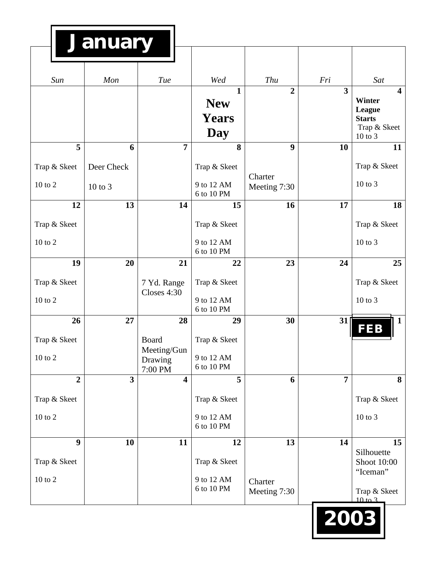| Sun<br>Mon     |              | Tue                                | Wed<br>$\mathbf{1}$      | Thu<br>$\overline{2}$   | Fri<br>$\overline{3}$ | Sat<br>$\overline{\mathbf{4}}$        |
|----------------|--------------|------------------------------------|--------------------------|-------------------------|-----------------------|---------------------------------------|
|                |              |                                    | <b>New</b>               |                         |                       | <b>Winter</b>                         |
|                |              |                                    | <b>Years</b>             |                         |                       | League<br><b>Starts</b>               |
|                |              |                                    | Day                      |                         |                       | Trap & Skeet<br>10 to 3               |
| 5              | 6            | $\overline{7}$                     | 8                        | 9                       | 10                    | 11                                    |
| Trap & Skeet   | Deer Check   |                                    | Trap & Skeet             |                         |                       | Trap & Skeet                          |
| 10 to 2        | $10$ to $3$  |                                    | 9 to 12 AM<br>6 to 10 PM | Charter<br>Meeting 7:30 |                       | $10$ to $3$                           |
| 12             | 13           | 14                                 | 15                       | 16                      | 17                    | 18                                    |
| Trap & Skeet   |              |                                    | Trap & Skeet             |                         |                       | Trap & Skeet                          |
| 10 to 2        |              |                                    | 9 to 12 AM<br>6 to 10 PM |                         |                       | $10$ to $3$                           |
| 19             | 20           | 21                                 | 22                       | 23                      | 24                    | 25                                    |
| Trap & Skeet   |              | 7 Yd. Range<br>Closes 4:30         | Trap & Skeet             |                         |                       | Trap & Skeet                          |
| 10 to 2        |              |                                    | 9 to 12 AM<br>6 to 10 PM |                         |                       | 10 to 3                               |
| 26             | 27           | 28                                 | 29                       | 30                      | 31                    | <b>FEB</b>                            |
| Trap & Skeet   |              | <b>Board</b>                       | Trap & Skeet             |                         |                       |                                       |
| 10 to 2        |              | Meeting/Gun<br>Drawing             | 9 to 12 AM<br>6 to 10 PM |                         |                       |                                       |
| $\overline{2}$ | $\mathbf{3}$ | 7:00 PM<br>$\overline{\mathbf{4}}$ | 5                        | 6                       | $\overline{7}$        |                                       |
| Trap & Skeet   |              |                                    | Trap & Skeet             |                         |                       | Trap & Skeet                          |
|                |              |                                    | 9 to 12 AM               |                         |                       | 10 to 3                               |
| 10 to 2        |              |                                    | 6 to 10 PM               |                         |                       |                                       |
| 9              | 10           | 11                                 | 12                       | 13                      | 14                    | 15                                    |
| Trap & Skeet   |              |                                    | Trap & Skeet             |                         |                       | Silhouette<br>Shoot 10:00<br>"Iceman" |
| $10$ to $2\,$  |              |                                    | 9 to 12 AM<br>6 to 10 PM | Charter<br>Meeting 7:30 |                       | Trap & Skeet<br>$10 \text{ to } 3$    |